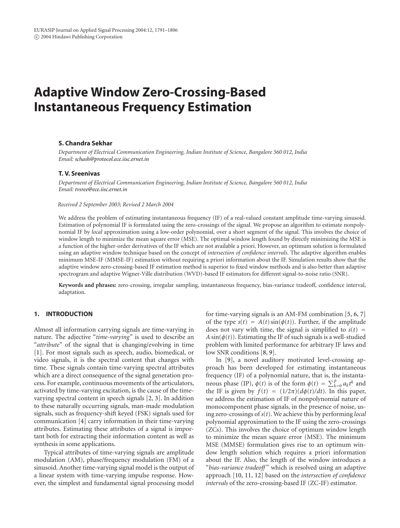# **Adaptive Window Zero-Crossing-Based Instantaneous Frequency Estimation**

# **S. Chandra Sekhar**

*Department of Electrical Communication Engineering, Indian Institute of Science, Bangalore 560 012, India Email: [schash@protocol.ece.iisc.ernet.in](mailto:schash@protocol.ece.iisc.ernet.in)*

## **T. V. Sreenivas**

*Department of Electrical Communication Engineering, Indian Institute of Science, Bangalore 560 012, India Email: [tvsree@ece.iisc.ernet.in](mailto:tvsree@ece.iisc.ernet.in)*

*Received 2 September 2003; Revised 2 March 2004*

We address the problem of estimating instantaneous frequency (IF) of a real-valued constant amplitude time-varying sinusoid. Estimation of polynomial IF is formulated using the zero-crossings of the signal. We propose an algorithm to estimate nonpolynomial IF by *local* approximation using a low-order polynomial, over a short segment of the signal. This involves the choice of window length to minimize the mean square error (MSE). The optimal window length found by directly minimizing the MSE is a function of the higher-order derivatives of the IF which are not available a priori. However, an optimum solution is formulated using an adaptive window technique based on the concept of *intersection of confidence intervals*. The adaptive algorithm enables minimum MSE-IF (MMSE-IF) estimation without requiring a priori information about the IF. Simulation results show that the adaptive window zero-crossing-based IF estimation method is superior to fixed window methods and is also better than adaptive spectrogram and adaptive Wigner-Ville distribution (WVD)-based IF estimators for different signal-to-noise ratio (SNR).

**Keywords and phrases:** zero-crossing, irregular sampling, instantaneous frequency, bias-variance tradeoff, confidence interval, adaptation.

# **1. INTRODUCTION**

Almost all information carrying signals are time-varying in nature. The adjective "*time-varying*" is used to describe an "*attribute*" of the signal that is changing/evolving in time [\[1](#page-14-0)]. For most signals such as speech, audio, biomedical, or video signals, it is the spectral content that changes with time. These signals contain time-varying spectral attributes which are a direct consequence of the signal generation process. For example, continuous movements of the articulators, activated by time-varying excitation, is the cause of the timevarying spectral content in speech signals [\[2,](#page-14-1) [3](#page-14-2)]. In addition to these naturally occurring signals, man-made modulation signals, such as frequency-shift keyed (FSK) signals used for communication [\[4\]](#page-14-3) carry information in their time-varying attributes. Estimating these attributes of a signal is important both for extracting their information content as well as synthesis in some applications.

Typical attributes of time-varying signals are amplitude modulation (AM), phase/frequency modulation (FM) of a sinusoid. Another time-varying signal model is the output of a linear system with time-varying impulse response. However, the simplest and fundamental signal processing model for time-varying signals is an AM-FM combination [\[5,](#page-14-4) [6,](#page-14-5) [7](#page-14-6)] of the type  $s(t) = A(t) \sin(\phi(t))$ . Further, if the amplitude does not vary with time, the signal is simplified to  $s(t)$  =  $A \sin(\phi(t))$ . Estimating the IF of such signals is a well-studied problem with limited performance for arbitrary IF laws and low SNR conditions [\[8](#page-14-7), [9\]](#page-14-8).

In [\[9\]](#page-14-8), a novel auditory motivated level-crossing approach has been developed for estimating instantaneous frequency (IF) of a polynomial nature, that is, the instantaneous phase (IP),  $\phi(t)$  is of the form  $\phi(t) = \sum_{k=0}^{p} a_k t^k$  and the IF is given by  $f(t) = (1/2\pi)(d\phi(t)/dt)$ . In this paper, we address the estimation of IF of nonpolynomial nature of monocomponent phase signals, in the presence of noise, using zero-crossings of *s*(*t*). We achieve this by performing *local* polynomial approximation to the IF using the zero-crossings (ZCs). This involves the choice of optimum window length to minimize the mean square error (MSE). The minimum MSE (MMSE) formulation gives rise to an optimum window length solution which requires a priori information about the IF. Also, the length of the window introduces a "*bias-variance tradeoff* " which is resolved using an adaptive approach [\[10](#page-14-9), [11](#page-14-10), [12\]](#page-14-11) based on the *intersection of confidence intervals* of the zero-crossing-based IF (ZC-IF) estimator.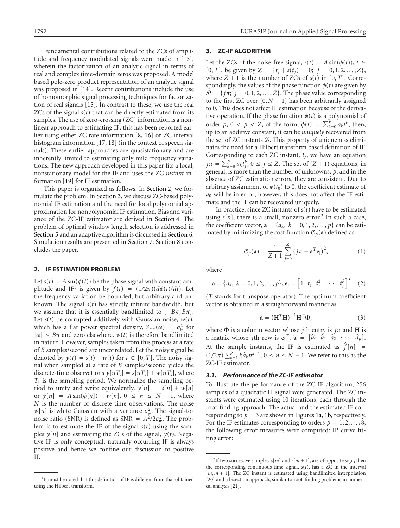Fundamental contributions related to the ZCs of amplitude and frequency modulated signals were made in [\[13\]](#page-14-12), wherein the factorization of an analytic signal in terms of real and complex time-domain zeros was proposed. A model based pole-zero product representation of an analytic signal was proposed in [\[14](#page-14-13)]. Recent contributions include the use of homomorphic signal processing techniques for factorization of real signals [\[15\]](#page-14-14). In contrast to these, we use the real ZCs of the signal *s*(*t*) that can be directly estimated from its samples. The use of zero-crossing (ZC) information is a nonlinear approach to estimating IF; this has been reported earlier using either ZC rate information [\[8,](#page-14-7) [16\]](#page-14-15) or ZC interval histogram information [\[17,](#page-14-16) [18\]](#page-14-17) (in the context of speech signals). These earlier approaches are quasistationary and are inherently limited to estimating only mild frequency variations. The new approach developed in this paper fits a local, nonstationary model for the IF and uses the ZC *instant* information [\[19](#page-14-18)] for IF estimation.

This paper is organized as follows. In [Section 2,](#page-1-0) we formulate the problem. In [Section 3,](#page-1-1) we discuss ZC-based polynomial IF estimation and the need for local polynomial approximation for nonpolynomial IF estimation. Bias and variance of the ZC-IF estimator are derived in [Section 4.](#page-3-0) The problem of optimal window length selection is addressed in [Section 5](#page-4-0) and an adaptive algorithm is discussed in [Section 6.](#page-5-0) Simulation results are presented in [Section 7.](#page-6-0) [Section 8](#page-12-0) concludes the paper.

## <span id="page-1-0"></span>**2. IF ESTIMATION PROBLEM**

Let  $s(t) = A \sin(\phi(t))$  be the phase signal with constant amplitude and IF<sup>1</sup> is given by  $f(t) = (1/2\pi)(d\phi(t)/dt)$ . Let the frequency variation be bounded, but arbitrary and unknown. The signal *s*(*t*) has strictly infinite bandwidth, but we assume that it is essentially bandlimited to  $[-B\pi, B\pi]$ . Let  $s(t)$  be corrupted additively with Gaussian noise,  $w(t)$ , which has a flat power spectral density,  $S_{ww}(\omega) = \sigma_w^2$  for  $|\omega| \leq B\pi$  and zero elsewhere.  $w(t)$  is therefore bandlimited in nature. However, samples taken from this process at a rate of *B* samples/second are uncorrelated. Let the noisy signal be denoted by  $y(t) = s(t) + w(t)$  for  $t \in [0, T]$ . The noisy signal when sampled at a rate of *B* samples/second yields the discrete-time observations  $y[nT_s] = s[nT_s] + w[nT_s]$ , where *Ts* is the sampling period. We normalize the sampling period to unity and write equivalently,  $y[n] = s[n] + w[n]$ or  $y[n] = A \sin(\phi[n]) + w[n], 0 \le n \le N - 1$ , where *N* is the number of discrete-time observations. The noise  $w[n]$  is white Gaussian with a variance  $\sigma_w^2$ . The signal-tonoise ratio (SNR) is defined as SNR =  $A^2/2\sigma_w^2$ . The problem is to estimate the IF of the signal *s*(*t*) using the samples  $y[n]$  and estimating the ZCs of the signal,  $y(t)$ . Negative IF is only conceptual; naturally occurring IF is always positive and hence we confine our discussion to positive IF.

# <span id="page-1-1"></span>**3. ZC-IF ALGORITHM**

Let the ZCs of the noise-free signal,  $s(t) = A \sin(\phi(t))$ ,  $t \in$  $[0, T]$ , be given by  $\mathcal{Z} = \{t_i \mid s(t_i) = 0; j = 0, 1, 2, \ldots, Z\}$ , where  $Z + 1$  is the number of ZCs of  $s(t)$  in [0, *T*]. Correspondingly, the values of the phase function  $\phi(t)$  are given by  $\mathcal{P} = \{j\pi; j = 0, 1, 2, \ldots, Z\}$ . The phase value corresponding to the first ZC over  $[0, N - 1]$  has been arbitrarily assigned to 0. This does not affect IF estimation because of the derivative operation. If the phase function  $\phi(t)$  is a polynomial of order *p*,  $0 < p < Z$ , of the form,  $\phi(t) = \sum_{k=0}^{p} a_k t^k$ , then, up to an additive constant, it can be *uniquely* recovered from the set of ZC instants Z. This property of uniqueness eliminates the need for a Hilbert transform based definition of IF. Corresponding to each  $ZC$  instant,  $t_j$ , we have an equation  $j\pi = \sum_{k=0}^{p} a_k t_j^k$ ,  $0 \le j \le Z$ . The set of  $(Z + 1)$  equations, in general, is more than the number of unknowns, *p*, and in the absence of ZC estimation errors, they are consistent. Due to arbitrary assignment of  $\phi(t_0)$  to 0, the coefficient estimate of  $a_0$  will be in error; however, this does not affect the IF estimate and the IF can be recovered uniquely.

In practice, since ZC instants of *s*(*t*) have to be estimated using  $s[n]$ , there is a small, nonzero error.<sup>2</sup> In such a case, the coefficient vector,  $\mathbf{a} = \{a_k, k = 0, 1, 2, \ldots, p\}$  can be estimated by minimizing the cost function  $C_p(a)$  defined as

$$
C_p(\mathbf{a}) = \frac{1}{Z+1} \sum_{j=0}^{Z} (j\pi - \mathbf{a}^T \mathbf{e}_j)^2, \qquad (1)
$$

where

$$
\mathbf{a} = \{a_k, k = 0, 1, 2, \dots, p\}, \mathbf{e}_j = \begin{bmatrix} 1 & t_j & t_j^2 & \cdots & t_j^p \end{bmatrix}^T \quad (2)
$$

(*T* stands for transpose operator). The optimum coefficient vector is obtained in a straightforward manner as

$$
\hat{\mathbf{a}} = \left(\mathbf{H}^T \mathbf{H}\right)^{-1} \mathbf{H}^T \mathbf{\Phi},\tag{3}
$$

where  $\Phi$  is a column vector whose *j*th entry is  $j\pi$  and **H** is a matrix whose *j*th row is  $\mathbf{e}_j^T \cdot \hat{\mathbf{a}} = [\hat{a}_0 \ \hat{a}_1 \ \hat{a}_2 \ \cdots \ \hat{a}_p].$ At the sample instants, the IF is estimated as  $f[n]$  =  $(1/2\pi) \sum_{k=1}^{p} k \hat{a}_k n^{k-1}, 0 \le n \le N-1$ . We refer to this as the ZC-IF estimator.

# *3.1. Performance of the ZC-IF estimator*

To illustrate the performance of the ZC-IF algorithm, 256 samples of a quadratic IF signal were generated. The ZC instants were estimated using 10 iterations, each through the root-finding approach. The actual and the estimated IF corresponding to  $p = 3$  are shown in Figures [1a,](#page-2-0) [1b,](#page-2-1) respectively. For the IF estimates corresponding to orders  $p = 1, 2, \ldots, 8$ , the following error measures were computed: IP curve fitting error:

<sup>&</sup>lt;sup>1</sup>It must be noted that this definition of IF is different from that obtained using the Hilbert transform.

<sup>&</sup>lt;sup>2</sup>If two successive samples,  $s[m]$  and  $s[m + 1]$ , are of opposite sign, then the corresponding continuous-time signal, *s*(*t*), has a ZC in the interval  $[m, m + 1]$ . The ZC instant is estimated using bandlimited interpolation [\[20\]](#page-14-19) and a bisection approach, similar to root-finding problems in numerical analysis [\[21\]](#page-15-0).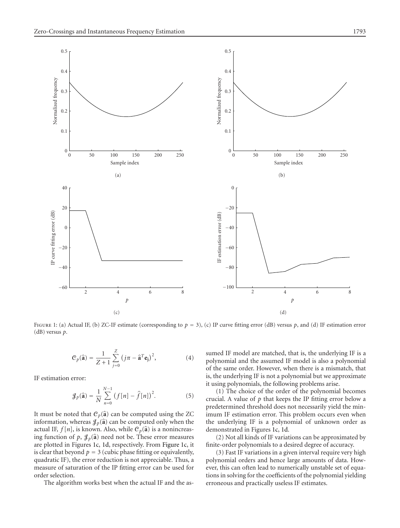<span id="page-2-2"></span><span id="page-2-1"></span><span id="page-2-0"></span>

FIGURE 1: (a) Actual IF, (b) ZC-IF estimate (corresponding to  $p = 3$ ), (c) IP curve fitting error (dB) versus p, and (d) IF estimation error (dB) versus *p*.

$$
\mathcal{C}_p(\hat{\mathbf{a}}) = \frac{1}{Z+1} \sum_{j=0}^{Z} \left( j\pi - \hat{\mathbf{a}}^T \mathbf{e}_j \right)^2, \tag{4}
$$

IF estimation error:

$$
\mathcal{J}_P(\hat{\mathbf{a}}) = \frac{1}{N} \sum_{n=0}^{N-1} (f[n] - \hat{f}[n])^2.
$$
 (5)

It must be noted that  $C_p(\hat{\mathbf{a}})$  can be computed using the ZC information, whereas  $\mathcal{J}_p(\hat{\mathbf{a}})$  can be computed only when the actual IF,  $f[n]$ , is known. Also, while  $\mathcal{C}_p(\hat{\mathbf{a}})$  is a nonincreasing function of  $p$ ,  $\mathcal{J}_p(\hat{\mathbf{a}})$  need not be. These error measures are plotted in Figures [1c,](#page-2-2) [1d,](#page-2-3) respectively. From [Figure 1c,](#page-2-2) it is clear that beyond  $p = 3$  (cubic phase fitting or equivalently, quadratic IF), the error reduction is not appreciable. Thus, a measure of saturation of the IP fitting error can be used for order selection.

The algorithm works best when the actual IF and the as-

<span id="page-2-3"></span>sumed IF model are matched, that is, the underlying IF is a polynomial and the assumed IF model is also a polynomial of the same order. However, when there is a mismatch, that is, the underlying IF is not a polynomial but we approximate it using polynomials, the following problems arise.

(1) The choice of the order of the polynomial becomes crucial. A value of *p* that keeps the IP fitting error below a predetermined threshold does not necessarily yield the minimum IF estimation error. This problem occurs even when the underlying IF is a polynomial of unknown order as demonstrated in Figures [1c,](#page-2-2) [1d.](#page-2-3)

(2) Not all kinds of IF variations can be approximated by finite-order polynomials to a desired degree of accuracy.

(3) Fast IF variations in a given interval require very high polynomial orders and hence large amounts of data. However, this can often lead to numerically unstable set of equations in solving for the coefficients of the polynomial yielding erroneous and practically useless IF estimates.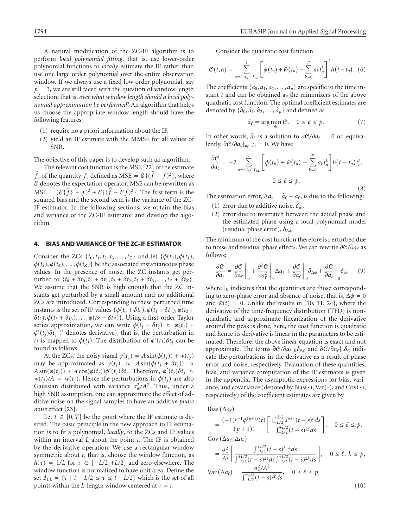A natural modification of the ZC-IF algorithm is to perform *local polynomial fitting*, that is, use lower-order polynomial functions to *locally* estimate the IF rather than use one large order polynomial over the entire observation window. If we always use a fixed low order polynomial, say  $p = 3$ , we are still faced with the question of window length selection; that is, *over what window length should a local polynomial approximation be performed*? An algorithm that helps us choose the appropriate window length should have the following features:

- (1) require no a priori information about the IF,
- (2) yield an IF estimate with the MMSE for all values of SNR.

The objective of this paper is to develop such an algorithm.

The relevant cost function is the MSE [\[22\]](#page-15-1) of the estimate *f*, of the quantity *f*, defined as MSE =  $\mathcal{E}\{(\hat{f} - f)^2\}$ , where E denotes the expectation operator. MSE can be rewritten as MSE =  $(\mathcal{E}\{\hat{f}\} - f)^2 + \mathcal{E}\{(\hat{f} - \mathcal{E}\hat{f})^2\}$ . The first term is the squared bias and the second term is the variance of the ZC-IF estimator. In the following sections, we obtain the bias and variance of the ZC-IF estimator and develop the algorithm.

# <span id="page-3-0"></span>**4. BIAS AND VARIANCE OF THE ZC-IF ESTIMATOR**

Consider the ZCs  $\{t_0, t_1, t_2, t_3, \ldots, t_Z\}$  and let  $\{\phi(t_0), \phi(t_1),$  $\phi(t_2), \phi(t_3), \ldots, \phi(t_Z)$ } be the associated instantaneous phase values. In the presence of noise, the ZC instants get perturbed to  $\{t_0 + \delta t_0, t_1 + \delta t_1, t_2 + \delta t_2, t_3 + \delta t_3, \ldots, t_Z + \delta t_Z\}.$ We assume that the SNR is high enough that the ZC instants get perturbed by a small amount and no additional ZCs are introduced. Corresponding to these perturbed time instants is the set of IP values  $\{\phi(t_0 + \delta t_0), \phi(t_1 + \delta t_1), \phi(t_2 + \delta t_2)\}$  $\delta t_2$ ),  $\phi(t_3 + \delta t_3)$ ,  $\ldots$ ,  $\phi(t_Z + \delta t_Z)$ }. Using a first-order Taylor series approximation, we can write  $\phi(t_i + \delta t_i) \approx \phi(t_i) +$  $\phi'(t_i)\delta t_i$  (' denotes derivative), that is, the perturbation in *t<sub>j</sub>* is mapped to  $\phi(t_j)$ . The distribution of  $\phi'(t_j)\delta t_j$  can be found as follows.

At the ZCs, the noisy signal  $y(t_i) = A \sin(\phi(t_i)) + w(t_i)$ may be approximated as  $y(t_i) \approx A \sin(\phi(t_i + \delta t_i)) \approx$  $A \sin(\phi(t_j)) + A \cos(\phi(t_j))\dot{\phi}'(t_j)\delta t_j$ . Therefore,  $\phi'(t_j)\delta t_j \approx$  $w(t_i)/A = \tilde{w}(t_i)$ . Hence the perturbations in  $\phi(t_i)$  are also Gaussian distributed with variance  $\sigma_w^2/A^2$ . Thus, under a high SNR assumption, one can approximate the effect of additive noise on the signal samples to have an additive *phase noise* effect [\[23\]](#page-15-2).

Let  $t \in [0, T]$  be the point where the IF estimate is desired. The basic principle in the new approach to IF estimation is to fit a polynomial, *locally*, to the ZCs and IP values within an interval *L* about the point *t*. The IF is obtained by the derivative operation. We use a rectangular window symmetric about *t*, that is, choose the window function, as  $h(\tau) = 1/L$  for  $\tau \in [-L/2, +L/2]$  and zero elsewhere. The window function is normalized to have unit area. Define the set  $I_{t,L} = \{\tau \mid t - L/2 \leq \tau \leq t + L/2\}$  which is the set of all points within the *L*-length window centered at  $\tau = t$ .

Consider the quadratic cost function

$$
C(t, \mathbf{a}) = \sum_{n=i \ni t_n \in J_{t,L}}^{j} \left[ \phi(t_n) + \tilde{w}(t_n) - \sum_{k=0}^{p} a_k t_n^k \right]^2 h(t - t_n). \tag{6}
$$

The coefficients  $\{a_0, a_1, a_2, \ldots, a_p\}$  are specific to the time instant *t* and can be obtained as the minimizers of the above quadratic cost function. The optimal coefficient estimates are denoted by  $\{\hat{a}_0, \hat{a}_1, \hat{a}_2, \ldots, \hat{a}_p\}$  and defined as

$$
\hat{a}_{\ell} = \arg\min_{a_{\ell}} \mathcal{C}, \quad 0 \le \ell \le p. \tag{7}
$$

In other words,  $\hat{a}_{\ell}$  is a solution to  $\partial C/\partial a_{\ell} = 0$  or, equiva*lently,*  $\frac{\partial C}{\partial a_\ell}\big|_{a_\ell=\hat{a}_\ell} = 0$ *. We have* 

$$
\frac{\partial \mathcal{C}}{\partial a_{\ell}} = -2 \sum_{n=i, t_n \in \mathcal{I}_{t,L}} \left[ \phi(t_n) + \tilde{w}(t_n) - \sum_{k=0}^p a_k t_n^k \right] h(t - t_n) t_n^{\ell},
$$
  

$$
0 \le \ell \le p.
$$
 (8)

The estimation error,  $\Delta a_{\ell} = \hat{a}_{\ell} - a_{\ell}$ , is due to the following:

- (1) error due to additive noise,  $\delta_{\tilde{w}}$ ,
- (2) error due to mismatch between the actual phase and the estimated phase using a local polynomial model (residual phase error), *δ*∆*<sup>φ</sup>*.

<span id="page-3-1"></span>The minimum of the cost function therefore is perturbed due to noise and residual phase effects. We can rewrite  $\partial C/\partial a_{\ell}$  as follows:

$$
\frac{\partial C}{\partial a_{\ell}} = \frac{\partial C}{\partial a_{\ell}}\bigg|_{0} + \frac{\partial^{2} C}{\partial a_{\ell}^{2}}\bigg|_{0} \Delta a_{\ell} + \frac{\partial C}{\partial a_{\ell}}\bigg|_{0} \delta_{\Delta \phi} + \frac{\partial C}{\partial a_{\ell}}\bigg|_{0} \delta_{\bar{w}}, \quad (9)
$$

where  $\vert_0$  indicates that the quantities are those corresponding to zero-phase error and absence of noise, that is,  $\Delta \phi = 0$ and  $\tilde{w}(t) = 0$ . Unlike the results in [\[10,](#page-14-9) [11,](#page-14-10) [24](#page-15-3)], where the derivative of the time-frequency distribution (TFD) is nonquadratic and approximate linearization of the derivative around the peak is done, here, the cost function is quadratic and hence its derivative is linear in the parameters to be estimated. Therefore, the above linear equation is exact and not approximate. The terms *<sup>∂</sup>*C*/∂a* <sup>|</sup>0*δ*∆*<sup>φ</sup>* and *<sup>∂</sup>*C*/∂a* <sup>|</sup>0*δw*˜ indicate the perturbations in the derivative as a result of phase error and noise, respectively. Evaluation of these quantities, bias, and variance computation of the IF estimates is given in the appendix. The asymptotic expressions for bias, variance, and covariance (denoted by  $Bias(\cdot)$ ,  $Var(\cdot)$ , and  $Cov(\cdot)$ , respectively) of the coefficient estimates are given by

Bias  $(\Delta a_{\ell})$ 

$$
=\frac{(-1)^{p+1}\phi^{(p+1)}(t)}{(p+1)!}\left[\frac{\int_{-L/2}^{+L/2} s^{p+1}(t-s)^{\ell} ds}{\int_{-L/2}^{+L/2} (t-s)^{2\ell} ds}\right], \quad 0\leq \ell\leq p,
$$

 $Cov(\Delta a_{\ell}, \Delta a_{k})$ 

$$
= \frac{\sigma_w^2}{A^2} \left[ \frac{\int_{-L/2}^{+L/2} (t-s)^{\ell+k} ds}{\int_{-L/2}^{+L/2} (t-s)^{2\ell} ds \int_{-L/2}^{+L/2} (t-s)^{2k} ds} \right], \quad 0 \le \ell, \ k \le p,
$$
  
Var  $(\Delta a_\ell) = \frac{\sigma_w^2 / A^2}{\int_{-L/2}^{+L/2} (t-s)^{2\ell} ds}, \quad 0 \le \ell \le p.$  (10)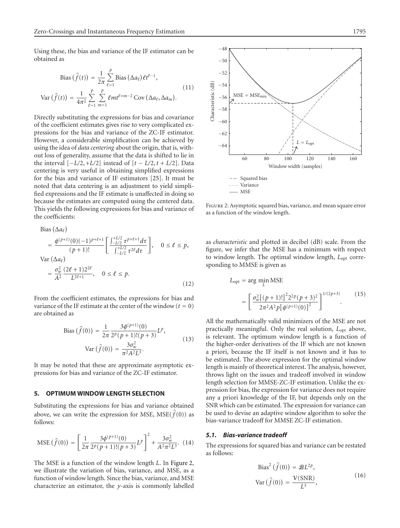Using these, the bias and variance of the IF estimator can be obtained as

$$
\text{Bias}(\hat{f}(t)) = \frac{1}{2\pi} \sum_{\ell=1}^{p} \text{Bias}(\Delta a_{\ell}) \ell t^{\ell-1},
$$
\n
$$
\text{Var}(\hat{f}(t)) = \frac{1}{4\pi^2} \sum_{\ell=1}^{p} \sum_{m=1}^{p} \ell m t^{\ell+m-2} \text{Cov}(\Delta a_{\ell}, \Delta a_{m}).
$$
\n(11)

Directly substituting the expressions for bias and covariance of the coefficient estimates gives rise to very complicated expressions for the bias and variance of the ZC-IF estimator. However, a considerable simplification can be achieved by using the idea of *data centering* about the origin, that is, without loss of generality, assume that the data is shifted to lie in the interval  $[-L/2, +L/2]$  instead of  $[t - L/2, t + L/2]$ . Data centering is very useful in obtaining simplified expressions for the bias and variance of IF estimators [\[25\]](#page-15-4). It must be noted that data centering is an adjustment to yield simplified expressions and the IF estimate is unaffected in doing so because the estimates are computed using the centered data. This yields the following expressions for bias and variance of the coefficients:

Bias 
$$
(\Delta a_{\ell})
$$
  
\n
$$
= \frac{\phi^{(p+1)}(0)(-1)^{p+\ell+1}}{(p+1)!} \left[ \frac{\int_{-L/2}^{+L/2} \tau^{p+\ell+1} d\tau}{\int_{-L/2}^{+L/2} \tau^{2\ell} d\tau} \right], \quad 0 \le \ell \le p,
$$
\nVar  $(\Delta a_{\ell})$   
\n
$$
= \frac{\sigma_w^2}{A^2} \frac{(2\ell+1)2^{2\ell}}{L^{2\ell+1}}, \quad 0 \le \ell \le p.
$$
\n(12)

From the coefficient estimates, the expressions for bias and variance of the IF estimate at the center of the window  $(t = 0)$ are obtained as

Bias 
$$
(\hat{f}(0)) = \frac{1}{2\pi} \frac{3\phi^{(p+1)}(0)}{2^p (p+1)!(p+3)} L^p
$$
,  
Var  $(\hat{f}(0)) = \frac{3\sigma_w^2}{\pi^2 A^2 L^3}$ . (13)

It may be noted that these are approximate asymptotic expressions for bias and variance of the ZC-IF estimator.

# <span id="page-4-0"></span>**5. OPTIMUM WINDOW LENGTH SELECTION**

Substituting the expressions for bias and variance obtained above, we can write the expression for MSE, MSE( $\hat{f}(0)$ ) as follows:

$$
\text{MSE}\left(\hat{f}(0)\right) = \left[\frac{1}{2\pi} \frac{3\phi^{(p+1)}(0)}{2^p(p+1)!(p+3)} L^p\right]^2 + \frac{3\sigma_w^2}{A^2\pi^2 L^3}.\tag{14}
$$

The MSE is a function of the window length *L*. In [Figure 2,](#page-4-1) we illustrate the variation of bias, variance, and MSE, as a function of window length. Since the bias, variance, and MSE characterize an estimator, the *y*-axis is commonly labelled



<span id="page-4-1"></span>Figure 2: Asymptotic squared bias, variance, and mean square error as a function of the window length.

as *characteristic* and plotted in decibel (dB) scale. From the figure, we infer that the MSE has a minimum with respect to window length. The optimal window length,  $L_{opt}$  corresponding to MMSE is given as

$$
L_{\text{opt}} = \arg \min_{L} \text{MSE}
$$
  
= 
$$
\left[ \frac{\sigma_w^2 [(p+1)!]^2 2^{2p} (p+3)^2}{2\pi^2 A^2 p [\phi^{(p+1)}(0)]^2} \right]^{1/(2p+3)}
$$
 (15)

All the mathematically valid minimizers of the MSE are not practically meaningful. Only the real solution, *L*<sub>opt</sub> above, is relevant. The optimum window length is a function of the higher-order derivatives of the IF which are not known a priori, because the IF itself is not known and it has to be estimated. The above expression for the optimal window length is mainly of theoretical interest. The analysis, however, throws light on the issues and tradeoff involved in window length selection for MMSE-ZC-IF estimation. Unlike the expression for bias, the expression for variance does not require any a priori knowledge of the IF, but depends only on the SNR which can be estimated. The expression for variance can be used to devise an adaptive window algorithm to solve the bias-variance tradeoff for MMSE ZC-IF estimation.

#### *5.1. Bias-variance tradeoff*

The expressions for squared bias and variance can be restated as follows:

Bias<sup>2</sup> 
$$
(\hat{f}(0)) = \mathcal{B}L^{2p}
$$
,  
Var  $(\hat{f}(0)) = \frac{\mathcal{V}(\text{SNR})}{L^3}$ , (16)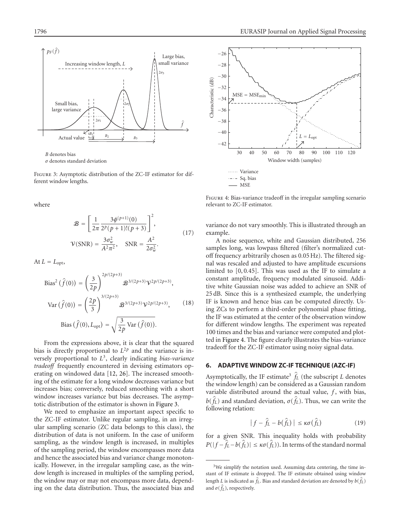

<span id="page-5-1"></span>Figure 3: Asymptotic distribution of the ZC-IF estimator for different window lengths.

where

$$
\mathcal{B} = \left[\frac{1}{2\pi} \frac{3\phi^{(p+1)}(0)}{2^p (p+1)!(p+3)}\right]^2,
$$
  

$$
\mathcal{V}(\text{SNR}) = \frac{3\sigma_w^2}{A^2 \pi^2}, \quad \text{SNR} = \frac{A^2}{2\sigma_w^2}.
$$
 (17)

At  $L = L_{\text{opt}}$ ,

Bias<sup>2</sup> 
$$
(\hat{f}(0)) = \left(\frac{3}{2p}\right)^{2p/(2p+3)} \mathcal{B}^{3/(2p+3)} \mathcal{V}^{2p/(2p+3)},
$$
  
\nVar  $(\hat{f}(0)) = \left(\frac{2p}{3}\right)^{3/(2p+3)} \mathcal{B}^{3/(2p+3)} \mathcal{V}^{2p/(2p+3)},$  (18)  
\nBias  $(\hat{f}(0), L_{opt}) = \sqrt{\frac{3}{2p} \text{Var}(\hat{f}(0))}.$ 

From the expressions above, it is clear that the squared bias is directly proportional to  $L^{2p}$  and the variance is inversely proportional to *L*3, clearly indicating *bias-variance tradeoff* frequently encountered in devising estimators operating on windowed data [\[12,](#page-14-11) [26\]](#page-15-5). The increased smoothing of the estimate for a long window decreases variance but increases bias; conversely, reduced smoothing with a short window increases variance but bias decreases. The asymptotic distribution of the estimator is shown in [Figure 3.](#page-5-1)

We need to emphasize an important aspect specific to the ZC-IF estimator. Unlike regular sampling, in an irregular sampling scenario (ZC data belongs to this class), the distribution of data is not uniform. In the case of uniform sampling, as the window length is increased, in multiples of the sampling period, the window encompasses more data and hence the associated bias and variance change monotonically. However, in the irregular sampling case, as the window length is increased in multiples of the sampling period, the window may or may not encompass more data, depending on the data distribution. Thus, the associated bias and



<span id="page-5-2"></span>Figure 4: Bias-variance tradeoff in the irregular sampling scenario relevant to ZC-IF estimator.

variance do not vary smoothly. This is illustrated through an example.

A noise sequence, white and Gaussian distributed, 256 samples long, was lowpass filtered (filter's normalized cutoff frequency arbitrarily chosen as 0*.*05 Hz). The filtered signal was rescaled and adjusted to have amplitude excursions limited to [0, 0*.*45]. This was used as the IF to simulate a constant amplitude, frequency modulated sinusoid. Additive white Gaussian noise was added to achieve an SNR of 25 dB. Since this is a synthesized example, the underlying IF is known and hence bias can be computed directly. Using ZCs to perform a third-order polynomial phase fitting, the IF was estimated at the center of the observation window for different window lengths. The experiment was repeated 100 times and the bias and variance were computed and plotted in [Figure 4.](#page-5-2) The figure clearly illustrates the bias-variance tradeoff for the ZC-IF estimator using noisy signal data.

#### <span id="page-5-0"></span>**6. ADAPTIVE WINDOW ZC-IF TECHNIQUE (AZC-IF)**

Asymptotically, the IF estimate<sup>3</sup>  $\hat{f}_L$  (the subscript *L* denotes the window length) can be considered as a Gaussian random variable distributed around the actual value, *f*, with bias,  $b(\hat{f}_L)$  and standard deviation,  $\sigma(\hat{f}_L)$ . Thus, we can write the following relation:

$$
|f - \hat{f}_L - b(\hat{f}_L)| \le \kappa \sigma(\hat{f}_L)
$$
 (19)

for a given SNR. This inequality holds with probability  $P(|f - f_L - b(f_L)| \leq \kappa \sigma(f_L)$ ). In terms of the standard normal

<sup>&</sup>lt;sup>3</sup>We simplify the notation used. Assuming data centering, the time instant of IF estimate is dropped. The IF estimate obtained using window length *L* is indicated as  $\hat{f}_L$ . Bias and standard deviation are denoted by  $b(\hat{f}_L)$ and  $\sigma(\hat{f}_L)$ , respectively.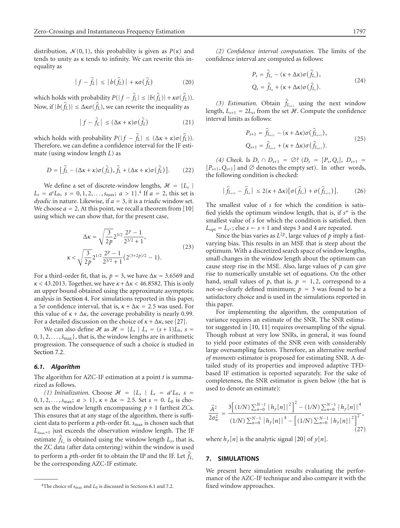distribution,  $\mathcal{N}(0, 1)$ , this probability is given as  $P(\kappa)$  and tends to unity as *κ* tends to infinity. We can rewrite this inequality as

$$
|f - \hat{f}_L| \le |b(\hat{f}_L)| + \kappa \sigma(\hat{f}_L)
$$
 (20)

which holds with probability  $P(|f - \hat{f}_L| \le |b(\hat{f}_L)| + \kappa \sigma(\hat{f}_L)).$ Now, if  $|b( f_L^{\hat{i}})|$  ≤ Δ*κσ*( $f_L^{\hat{i}}$ ), we can rewrite the inequality as

$$
|f - \hat{f}_L| \le (\Delta \kappa + \kappa) \sigma(\hat{f}_L)
$$
 (21)

which holds with probability  $P(|f - \hat{f}_L| \leq (\Delta \kappa + \kappa) \sigma(\hat{f}_L)).$ Therefore, we can define a confidence interval for the IF estimate (using window length *L*) as

$$
D = [\hat{f}_L - (\Delta \kappa + \kappa) \sigma(\hat{f}_L), \hat{f}_L + (\Delta \kappa + \kappa) \sigma(\hat{f}_L)].
$$
 (22)

We define a set of discrete-window lengths,  $\mathcal{H} = \{L_s \mid$  $L_s = a^s L_0, s = 0, 1, 2, \ldots, s_{\text{max}}; a > 1$ .<sup>4</sup> If  $a = 2$ , this set is *dyadic* in nature. Likewise, if *<sup>a</sup>* <sup>=</sup> 3, it is a *triadic* window set. We choose  $a = 2$ . At this point, we recall a theorem from [\[10](#page-14-9)] using which we can show that, for the present case,

$$
\Delta \kappa = \sqrt{\frac{3}{2p}} 2^{3/2} \frac{2^p - 1}{2^{3/2} + 1},
$$
  

$$
\kappa < \sqrt{\frac{3}{2p}} 2^{1/2} \frac{2^p - 1}{2^{3/2} + 1} (2^{(3+2p)/2} - 1).
$$
 (23)

For a third-order fit, that is,  $p = 3$ , we have  $\Delta \kappa = 3.6569$  and *κ <* 43*.*2013. Together, we have *κ*+∆*κ <* 46*.*8582. This is only an upper bound obtained using the approximate asymptotic analysis in [Section 4.](#page-3-0) For simulations reported in this paper, a 5*σ* confidence interval, that is,  $\kappa + \Delta \kappa = 2.5$  was used. For this value of  $\kappa + \Delta \kappa$ , the coverage probability is nearly 0.99. For a detailed discussion on the choice of  $\kappa + \Delta \kappa$ , see [\[27](#page-15-6)].

We can also define H as  $H = \{L_s | L_s = (s+1)L_0, s =$  $0, 1, 2, \ldots, \tilde{s}_{\text{max}}\}$ , that is, the window lengths are in arithmetic progression. The consequence of such a choice is studied in [Section 7.2.](#page-9-0)

## <span id="page-6-1"></span>*6.1. Algorithm*

The algorithm for AZC-IF estimation at a point *t* is summarized as follows.

(1) Initialization. Choose  $\mathcal{H} = \{L_s | L_s = a^s L_0, s =$ 0, 1, 2,  $\ldots$ ,  $s_{\text{max}}$ ;  $a > 1$ ,  $\kappa + \Delta \kappa = 2.5$ . Set  $s = 0$ .  $L_0$  is chosen as the window length encompassing  $p + 1$  farthest ZCs. This ensures that at any stage of the algorithm, there is sufficient data to perform a *p*th-order fit. *s*max is chosen such that *Ls*max+1 just exceeds the observation window length. The IF estimate  $f_{L_s}$  is obtained using the window length  $L_s$ , that is, the ZC data (after data centering) within the window is used to perform a *p*th-order fit to obtain the IP and the IF. Let  $f_{L_s}$ be the corresponding AZC-IF estimate.

*(2) Confidence interval computation.* The limits of the confidence interval are computed as follows:

$$
P_s = \hat{f}_{L_s} - (\kappa + \Delta \kappa) \sigma(\hat{f}_{L_s}),
$$
  
\n
$$
Q_s = \hat{f}_{L_s} + (\kappa + \Delta \kappa) \sigma(\hat{f}_{L_s}).
$$
\n(24)

(3) Estimation. Obtain  $\hat{f}_{L_{s+1}}$  using the next window length,  $L_{s+1} = 2L_s$ , from the set  $H$ . Compute the confidence interval limits as follows:

$$
P_{s+1} = \hat{f}_{L_{s+1}} - (\kappa + \Delta \kappa) \sigma(\hat{f}_{L_{s+1}}),
$$
  
\n
$$
Q_{s+1} = \hat{f}_{L_{s+1}} + (\kappa + \Delta \kappa) \sigma(\hat{f}_{L_{s+1}}).
$$
\n(25)

*(4) Check.* Is *D<sub>s</sub>* ∩ *D<sub>s+1</sub>* = ∅?  $(D_s = [P_s, Q_s], D_{s+1}$  =  $[P_{s+1}, Q_{s+1}]$  and  $\emptyset$  denotes the empty set). In other words, the following condition is checked:

$$
\left|\hat{f}_{L_{s+1}} - \hat{f}_{L_s}\right| \le 2(\kappa + \Delta \kappa) \left[\sigma(\hat{f}_{L_s}) + \sigma(\hat{f}_{L_{s+1}})\right].
$$
 (26)

The smallest value of *s* for which the condition is satisfied yields the optimum window length, that is, if *s*<sup>∗</sup> is the smallest value of *s* for which the condition is satisfied, then  $L_{\text{opt}} = L_{s^*}$ ; else  $s \leftarrow s + 1$  and steps 3 and 4 are repeated.

Since the bias varies as  $L^{2p}$ , large values of p imply a fastvarying bias. This results in an MSE that is steep about the optimum. With a discretized search space of window lengths, small changes in the window length about the optimum can cause steep rise in the MSE. Also, large values of *p* can give rise to numerically unstable set of equations. On the other hand, small values of  $p$ , that is,  $p = 1, 2$ , correspond to a not-so-clearly defined minimum;  $p = 3$  was found to be a satisfactory choice and is used in the simulations reported in this paper.

For implementing the algorithm, the computation of variance requires an estimate of the SNR. The SNR estimator suggested in [\[10](#page-14-9), [11\]](#page-14-10) requires oversampling of the signal. Though robust at very low SNRs, in general, it was found to yield poor estimates of the SNR even with considerably large oversampling factors. Therefore, an alternative *method of moments* estimator is proposed for estimating SNR. A detailed study of its properties and improved adaptive TFDbased IF estimation is reported separately. For the sake of completeness, the SNR estimator is given below (the hat is used to denote an estimate):

$$
\frac{\hat{A}^2}{2\sigma_w^2} = \frac{3\left[\left(1/N\right)\sum_{n=0}^{N-1} \left|h_y[n]\right|^2\right]^2 - \left(1/N\right)\sum_{n=0}^{N-1} \left|h_y[n]\right|^4}{\left(1/N\right)\sum_{n=0}^{N-1} \left|h_y[n]\right|^4 - \left[\left(1/N\right)\sum_{n=0}^{N-1} \left|h_y[n]\right|^2\right]^2},\tag{27}
$$

where  $h_y[n]$  is the analytic signal [\[20](#page-14-19)] of  $y[n]$ .

#### <span id="page-6-0"></span>**7. SIMULATIONS**

We present here simulation results evaluating the performance of the AZC-IF technique and also compare it with the fixed window approaches.

<sup>&</sup>lt;sup>4</sup>The choice of  $s_{\text{max}}$  and  $L_0$  is discussed in Sections [6.1](#page-6-1) and [7.2.](#page-9-0)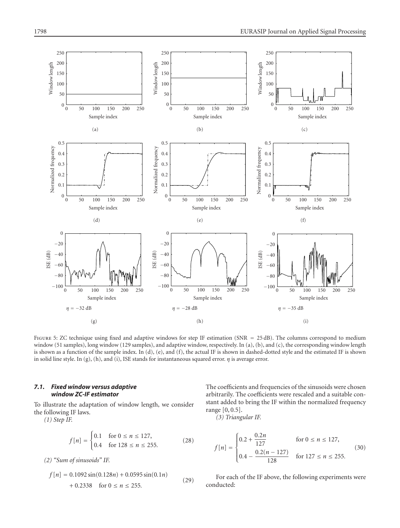

<span id="page-7-0"></span>FIGURE 5: ZC technique using fixed and adaptive windows for step IF estimation (SNR = 25 dB). The columns correspond to medium window (51 samples), long window (129 samples), and adaptive window, respectively. In (a), (b), and (c), the corresponding window length is shown as a function of the sample index. In (d), (e), and (f), the actual IF is shown in dashed-dotted style and the estimated IF is shown in solid line style. In (g), (h), and (i), ISE stands for instantaneous squared error. *η* is average error.

## *7.1. Fixed window versus adaptive window ZC-IF estimator*

To illustrate the adaptation of window length, we consider the following IF laws.

*(1) Step IF.*

$$
f[n] = \begin{cases} 0.1 & \text{for } 0 \le n \le 127, \\ 0.4 & \text{for } 128 \le n \le 255. \end{cases} \tag{28}
$$

*(2) "Sum of sinusoids" IF.*

$$
f[n] = 0.1092 \sin(0.128n) + 0.0595 \sin(0.1n) + 0.2338 \text{ for } 0 \le n \le 255.
$$
 (29)

The coefficients and frequencies of the sinusoids were chosen arbitrarily. The coefficients were rescaled and a suitable constant added to bring the IF within the normalized frequency range [0, 0*.*5].

*(3) Triangular IF.*

$$
f[n] = \begin{cases} 0.2 + \frac{0.2n}{127} & \text{for } 0 \le n \le 127, \\ 0.4 - \frac{0.2(n - 127)}{128} & \text{for } 127 \le n \le 255. \end{cases}
$$
(30)

For each of the IF above, the following experiments were conducted: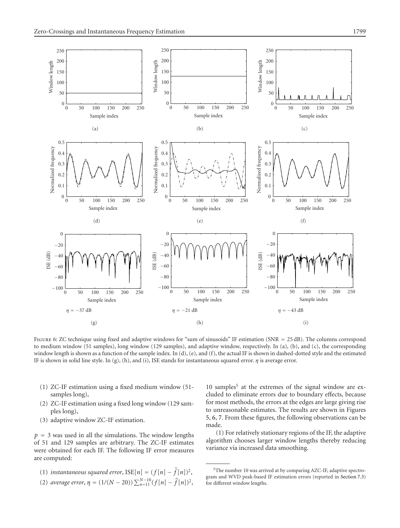

<span id="page-8-0"></span>FIGURE 6: ZC technique using fixed and adaptive windows for "sum of sinusoids" IF estimation (SNR = 25 dB). The columns correspond to medium window (51 samples), long window (129 samples), and adaptive window, respectively. In (a), (b), and (c), the corresponding window length is shown as a function of the sample index. In (d), (e), and (f), the actual IF is shown in dashed-dotted style and the estimated IF is shown in solid line style. In (g), (h), and (i), ISE stands for instantaneous squared error. *η* is average error.

- (1) ZC-IF estimation using a fixed medium window (51 samples long),
- (2) ZC-IF estimation using a fixed long window (129 samples long),
- (3) adaptive window ZC-IF estimation.

 $p = 3$  was used in all the simulations. The window lengths of 51 and 129 samples are arbitrary. The ZC-IF estimates were obtained for each IF. The following IF error measures are computed:

- (1) *instantaneous squared error*,  $ISE[n] = (f[n] \hat{f}[n])^2$ ,
- (2) *average error*,  $\eta = (1/(N-20)) \sum_{n=11}^{N-10} (f[n] \hat{f}[n])^2$ ,

10 samples<sup>5</sup> at the extremes of the signal window are excluded to eliminate errors due to boundary effects, because for most methods, the errors at the edges are large giving rise to unreasonable estimates. The results are shown in Figures [5,](#page-7-0) [6,](#page-8-0) [7.](#page-9-1) From these figures, the following observations can be made.

(1) For relatively stationary regions of the IF, the adaptive algorithm chooses larger window lengths thereby reducing variance via increased data smoothing.

<sup>5</sup>The number 10 was arrived at by comparing AZC-IF, adaptive spectrogram and WVD peak-based IF estimation errors (reported in [Section 7.3\)](#page-11-0) for different window lengths.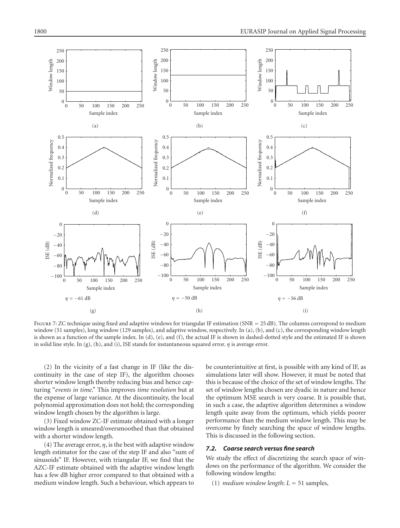

<span id="page-9-1"></span>FIGURE 7: ZC technique using fixed and adaptive windows for triangular IF estimation (SNR = 25 dB). The columns correspond to medium window (51 samples), long window (129 samples), and adaptive window, respectively. In (a), (b), and (c), the corresponding window length is shown as a function of the sample index. In (d), (e), and (f), the actual IF is shown in dashed-dotted style and the estimated IF is shown in solid line style. In (g), (h), and (i), ISE stands for instantaneous squared error. *η* is average error.

(2) In the vicinity of a fast change in IF (like the discontinuity in the case of step IF), the algorithm chooses shorter window length thereby reducing bias and hence capturing "*events in time*." This improves *time resolution* but at the expense of large variance. At the discontinuity, the local polynomial approximation does not hold; the corresponding window length chosen by the algorithm is large.

(3) Fixed window ZC-IF estimate obtained with a longer window length is smeared/oversmoothed than that obtained with a shorter window length.

(4) The average error,  $\eta$ , is the best with adaptive window length estimator for the case of the step IF and also "sum of sinusoids" IF. However, with triangular IF, we find that the AZC-IF estimate obtained with the adaptive window length has a few dB higher error compared to that obtained with a medium window length. Such a behaviour, which appears to

be counterintuitive at first, is possible with any kind of IF, as simulations later will show. However, it must be noted that this is because of the choice of the set of window lengths. The set of window lengths chosen are dyadic in nature and hence the optimum MSE search is very coarse. It is possible that, in such a case, the adaptive algorithm determines a window length quite away from the optimum, which yields poorer performance than the medium window length. This may be overcome by finely searching the space of window lengths. This is discussed in the following section.

# <span id="page-9-0"></span>*7.2. Coarse search versus fine search*

We study the effect of discretizing the search space of windows on the performance of the algorithm. We consider the following window lengths:

(1) *medium window length*:  $L = 51$  samples,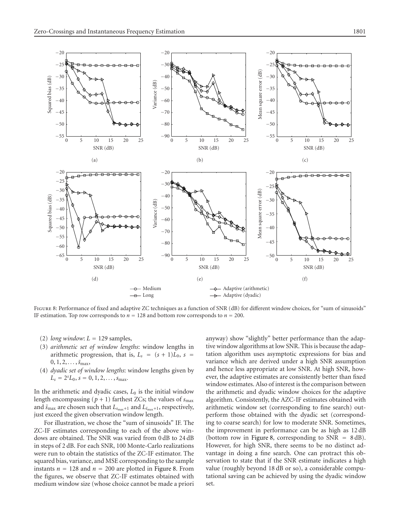

<span id="page-10-0"></span>FIGURE 8: Performance of fixed and adaptive ZC techniques as a function of SNR (dB) for different window choices, for "sum of sinusoids" IF estimation. Top row corresponds to  $n = 128$  and bottom row corresponds to  $n = 200$ .

- (2) *long window*:  $L = 129$  samples,
- (3) *arithmetic set of window lengths*: window lengths in arithmetic progression, that is,  $L_s = (s + 1)L_0$ ,  $s =$  $0, 1, 2, \ldots, \tilde{s}_{\text{max}},$
- (4) *dyadic set of window lengths*: window lengths given by  $L_s = 2<sup>s</sup>L_0, s = 0, 1, 2, \ldots, s_{\text{max}}.$

In the arithmetic and dyadic cases,  $L_0$  is the initial window length encompassing  $(p + 1)$  farthest ZCs; the values of  $s_{\text{max}}$ and  $\tilde{s}_{\text{max}}$  are chosen such that  $L_{s_{\text{max}}+1}$  and  $L_{\tilde{s}_{\text{max}}+1}$ , respectively, just exceed the given observation window length.

For illustration, we chose the "sum of sinusoids" IF. The ZC-IF estimates corresponding to each of the above windows are obtained. The SNR was varied from 0 dB to 24 dB in steps of 2 dB. For each SNR, 100 Monte-Carlo realizations were run to obtain the statistics of the ZC-IF estimator. The squared bias, variance, and MSE corresponding to the sample instants  $n = 128$  and  $n = 200$  are plotted in [Figure 8.](#page-10-0) From the figures, we observe that ZC-IF estimates obtained with medium window size (whose choice cannot be made a priori

anyway) show "slightly" better performance than the adaptive window algorithms at low SNR. This is because the adaptation algorithm uses asymptotic expressions for bias and variance which are derived under a high SNR assumption and hence less appropriate at low SNR. At high SNR, however, the adaptive estimates are consistently better than fixed window estimates. Also of interest is the comparison between the arithmetic and dyadic window choices for the adaptive algorithm. Consistently, the AZC-IF estimates obtained with arithmetic window set (corresponding to fine search) outperform those obtained with the dyadic set (corresponding to coarse search) for low to moderate SNR. Sometimes, the improvement in performance can be as high as 12 dB (bottom row in [Figure 8,](#page-10-0) corresponding to  $SNR = 8 dB$ ). However, for high SNR, there seems to be no distinct advantage in doing a fine search. One can protract this observation to state that if the SNR estimate indicates a high value (roughly beyond 18 dB or so), a considerable computational saving can be achieved by using the dyadic window set.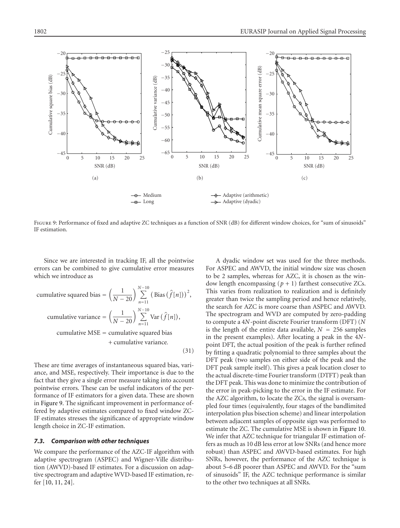

<span id="page-11-1"></span>FIGURE 9: Performance of fixed and adaptive ZC techniques as a function of SNR (dB) for different window choices, for "sum of sinusoids" IF estimation.

Since we are interested in tracking IF, all the pointwise errors can be combined to give cumulative error measures which we introduce as

cumulative squared bias = 
$$
\left(\frac{1}{N-20}\right) \sum_{n=11}^{N-10} (\text{Bias } (\hat{f}[n]))^2
$$
,  
cumulative variance =  $\left(\frac{1}{N-20}\right) \sum_{n=11}^{N-10} \text{Var } (\hat{f}[n])$ ,  
cumulative MSE = cumulative squared bias  
+ cumulative variance.

(31)

These are time averages of instantaneous squared bias, variance, and MSE, respectively. Their importance is due to the fact that they give a single error measure taking into account pointwise errors. These can be useful indicators of the performance of IF estimators for a given data. These are shown in [Figure 9.](#page-11-1) The significant improvement in performance offered by adaptive estimates compared to fixed window ZC-IF estimates stresses the significance of appropriate window length choice in ZC-IF estimation.

#### <span id="page-11-0"></span>*7.3. Comparison with other techniques*

We compare the performance of the AZC-IF algorithm with adaptive spectrogram (ASPEC) and Wigner-Ville distribution (AWVD)-based IF estimates. For a discussion on adaptive spectrogram and adaptive WVD-based IF estimation, refer [\[10](#page-14-9), [11](#page-14-10), [24\]](#page-15-3).

A dyadic window set was used for the three methods. For ASPEC and AWVD, the initial window size was chosen to be 2 samples, whereas for AZC, it is chosen as the window length encompassing  $(p + 1)$  farthest consecutive ZCs. This varies from realization to realization and is definitely greater than twice the sampling period and hence relatively, the search for AZC is more coarse than ASPEC and AWVD. The spectrogram and WVD are computed by zero-padding to compute a 4*N*-point discrete Fourier transform (DFT) (*N* is the length of the entire data available,  $N = 256$  samples in the present examples). After locating a peak in the 4*N*point DFT, the actual position of the peak is further refined by fitting a quadratic polynomial to three samples about the DFT peak (two samples on either side of the peak and the DFT peak sample itself). This gives a peak location closer to the actual discrete-time Fourier transform (DTFT) peak than the DFT peak. This was done to minimize the contribution of the error in peak-picking to the error in the IF estimate. For the AZC algorithm, to locate the ZCs, the signal is oversampled four times (equivalently, four stages of the bandlimited interpolation plus bisection scheme) and linear interpolation between adjacent samples of opposite sign was performed to estimate the ZC. The cumulative MSE is shown in [Figure 10.](#page-12-1) We infer that AZC technique for triangular IF estimation offers as much as 10 dB less error at low SNRs (and hence more robust) than ASPEC and AWVD-based estimates. For high SNRs, however, the performance of the AZC technique is about 5–6 dB poorer than ASPEC and AWVD. For the "sum of sinusoids" IF, the AZC technique performance is similar to the other two techniques at all SNRs.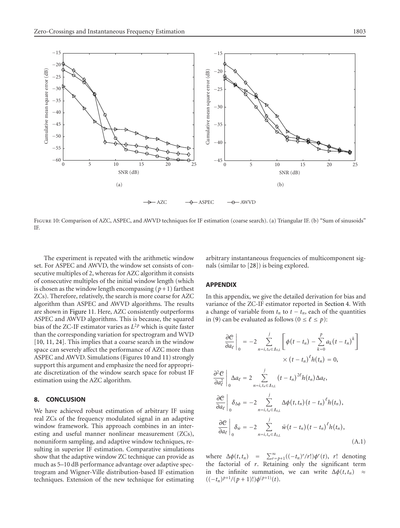

<span id="page-12-1"></span>FIGURE 10: Comparison of AZC, ASPEC, and AWVD techniques for IF estimation (coarse search). (a) Triangular IF. (b) "Sum of sinusoids" IF.

The experiment is repeated with the arithmetic window set. For ASPEC and AWVD, the window set consists of consecutive multiples of 2, whereas for AZC algorithm it consists of consecutive multiples of the initial window length (which is chosen as the window length encompassing  $(p+1)$  farthest ZCs). Therefore, relatively, the search is more coarse for AZC algorithm than ASPEC and AWVD algorithms. The results are shown in [Figure 11.](#page-13-0) Here, AZC consistently outperforms ASPEC and AWVD algorithms. This is because, the squared bias of the ZC-IF estimator varies as  $L^{2p}$  which is quite faster than the corresponding variation for spectrogram and WVD [\[10](#page-14-9), [11,](#page-14-10) [24](#page-15-3)]. This implies that a coarse search in the window space can severely affect the performance of AZC more than ASPEC and AWVD. Simulations (Figures [10](#page-12-1) and [11\)](#page-13-0) strongly support this argument and emphasize the need for appropriate discretization of the window search space for robust IF estimation using the AZC algorithm.

## <span id="page-12-0"></span>**8. CONCLUSION**

We have achieved robust estimation of arbitrary IF using real ZCs of the frequency modulated signal in an adaptive window framework. This approach combines in an interesting and useful manner nonlinear measurement (ZCs), nonuniform sampling, and adaptive window techniques, resulting in superior IF estimation. Comparative simulations show that the adaptive window ZC technique can provide as much as 5–10 dB performance advantage over adaptive spectrogram and Wigner-Ville distribution-based IF estimation techniques. Extension of the new technique for estimating

arbitrary instantaneous frequencies of multicomponent signals (similar to [\[28](#page-15-7)]) is being explored.

## **APPENDIX**

In this appendix, we give the detailed derivation for bias and variance of the ZC-IF estimator reported in [Section 4.](#page-3-0) With a change of variable from  $t_n$  to  $t - t_n$ , each of the quantities in [\(9\)](#page-3-1) can be evaluated as follows ( $0 \le \ell \le p$ ):

$$
\frac{\partial C}{\partial a_{\ell}}\Big|_{0} = -2 \sum_{n=i, t_{n} \in I_{0,L}} \left[ \phi(t - t_{n}) - \sum_{k=0}^{p} a_{k}(t - t_{n})^{k} \right] \times (t - t_{n})^{\ell} h(t_{n}) = 0,
$$
  

$$
\frac{\partial^{2} C}{\partial a_{\ell}^{2}} \Big|_{0} \Delta a_{\ell} = 2 \sum_{n=i, t_{n} \in I_{0,L}} \frac{(t - t_{n})^{2\ell} h(t_{n}) \Delta a_{\ell},
$$
  

$$
\frac{\partial C}{\partial a_{\ell}} \Big|_{0} \delta_{\Delta \phi} = -2 \sum_{n=i, t_{n} \in I_{0,L}} \Delta \phi(t, t_{n}) (t - t_{n})^{\ell} h(t_{n}),
$$
  

$$
\frac{\partial C}{\partial a_{\ell}} \Big|_{0} \delta_{\tilde{w}} = -2 \sum_{n=i, t_{n} \in I_{0,L}} \tilde{w}(t - t_{n}) (t - t_{n})^{\ell} h(t_{n}),
$$
(A.1)

where  $\Delta \phi(t, t_n) = \sum_{r=p+1}^{\infty} ((-t_n)^r/r!) \phi^r(t)$ , *r*! denoting the factorial of *r*. Retaining only the significant term in the infinite summation, we can write  $\Delta \phi(t, t_n)$  ≈  $((-t_n)^{p+1}/(p+1)!)\phi^{(p+1)}(t).$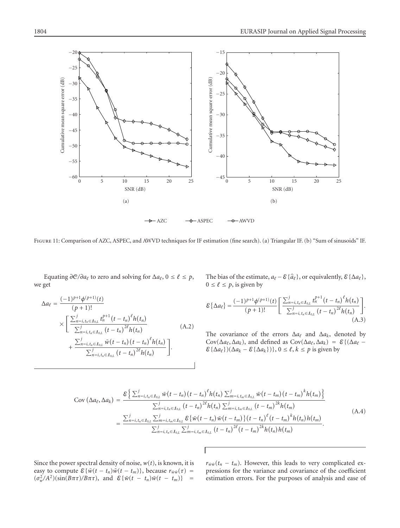

<span id="page-13-0"></span>Figure 11: Comparison of AZC, ASPEC, and AWVD techniques for IF estimation (fine search). (a) Triangular IF. (b) "Sum of sinusoids" IF.

Equating  $\partial C/\partial a_{\ell}$  to zero and solving for  $\Delta a_{\ell}$ ,  $0 \le \ell \le p$ , we get

$$
\Delta a_{\ell} = \frac{(-1)^{p+1} \phi^{(p+1)}(t)}{(p+1)!} \times \left[ \frac{\sum_{n=i, t_n \in \mathcal{I}_{0,L}}^j t_n^{p+1} (t - t_n)^{\ell} h(t_n)}{\sum_{n=i, t_n \in \mathcal{I}_{0,L}}^j (t - t_n)^{2\ell} h(t_n)} + \frac{\sum_{n=i, t_n \in \mathcal{I}_{0,L}}^j \tilde{w}(t - t_n) (t - t_n)^{\ell} h(t_n)}{\sum_{n=i, t_n \in \mathcal{I}_{0,L}}^j (t - t_n)^{2\ell} h(t_n)} \right].
$$
\n(A.2)

The bias of the estimate,  $a_{\ell}$  –  $\mathcal{E}\{\hat{a}_{\ell}\}\,$ , or equivalently,  $\mathcal{E}\{\Delta a_{\ell}\}\,$ ,  $0 \le \ell \le p$ , is given by

$$
\mathcal{E}\left\{\Delta a_{\ell}\right\} = \frac{(-1)^{p+1}\phi^{(p+1)}(t)}{(p+1)!} \Bigg[ \frac{\sum_{n=i,\,t_n \in \mathcal{I}_{0,L}}^j t_n^{p+1} (t - t_n)^{\ell} h(t_n)}{\sum_{n=i,\,t_n \in \mathcal{I}_{0,L}}^j (t - t_n)^{2\ell} h(t_n)} \Bigg].
$$
\n(A.3)

The covariance of the errors  $\Delta a_\ell$  and  $\Delta a_k$ , denoted by  $Cov(\Delta a_{\ell}, \Delta a_{k})$ , and defined as  $Cov(\Delta a_{\ell}, \Delta a_{k}) = \mathcal{E}\{(\Delta a_{\ell} - \Delta a_{k})\}$  $\mathcal{E}\{\Delta a_{\ell}\}\right)(\Delta a_k - \mathcal{E}\{\Delta a_k\})\}, 0 \leq \ell, k \leq p$  is given by

$$
Cov \left( \Delta a_{\ell}, \Delta a_{k} \right) = \frac{\mathcal{E} \left\{ \sum_{n=i, t_{n} \in I_{0,L}}^{j} \tilde{w}(t - t_{n}) (t - t_{n})^{\ell} h(t_{n}) \sum_{m=i, t_{m} \in I_{0,L}}^{j} \tilde{w}(t - t_{m}) (t - t_{m})^{k} h(t_{m}) \right\}}{\sum_{n=i, t_{n} \in I_{0,L}}^{j} (t - t_{n})^{2\ell} h(t_{n}) \sum_{m=i, t_{m} \in I_{0,L}}^{j} (t - t_{m})^{2k} h(t_{m})}
$$
\n
$$
= \frac{\sum_{n=i, t_{n} \in I_{0,L}}^{j} \sum_{m=i, t_{m} \in I_{0,L}}^{j} \mathcal{E} \left\{ \tilde{w}(t - t_{n}) \tilde{w}(t - t_{m}) \right\} (t - t_{n})^{\ell} (t - t_{m})^{k} h(t_{n}) h(t_{m})}{\sum_{n=i, t_{n} \in I_{0,L}}^{j} \sum_{m=i, t_{m} \in I_{0,L}}^{j} (t - t_{n})^{2\ell} (t - t_{m})^{2k} h(t_{n}) h(t_{m})}.
$$
\n(A.4)

Since the power spectral density of noise,  $w(t)$ , is known, it is easy to compute  $\mathcal{E}\{\tilde{w}(t - t_n)\tilde{w}(t - t_m)\}\$ , because  $r_{\tilde{w}\tilde{w}}(\tau) =$  $(\sigma_w^2/A^2)(\sin(B\pi\tau)/B\pi\tau)$ , and  $\mathcal{E}\{\tilde{w}(t - t_n)\tilde{w}(t - t_m)\}$  =  $r_{\bar{w}\bar{w}}(t_n - t_m)$ . However, this leads to very complicated expressions for the variance and covariance of the coefficient estimation errors. For the purposes of analysis and ease of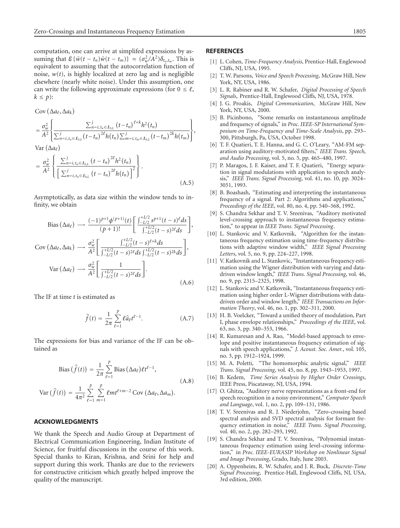computation, one can arrive at simplifed expressions by assuming that  $\mathcal{E}\{\tilde{w}(t - t_n)\tilde{w}(t - t_m)\}\approx (\sigma_w^2/\tilde{A}^2)\delta_{t_n,t_m}$ . This is equivalent to assuming that the autocorrelation function of noise,  $w(t)$ , is highly localized at zero lag and is negligible elsewhere (nearly white noise). Under this assumption, one can write the following approximate expressions (for  $0 \leq \ell$ ,  $k \leq p$ :

$$
\begin{split} &\text{Cov}\left(\Delta a_{\ell}, \Delta a_{k}\right) \\ &= \frac{\sigma_{w}^{2}}{A^{2}} \left\{ \frac{\sum_{n=i, t_{n} \in I_{0,L}}^{j} \left(t - t_{n}\right)^{\ell+k} h^{2}(t_{n})}{\sum_{n=i, t_{n} \in I_{0,L}}^{j} \left(t - t_{n}\right)^{2\ell} h(t_{n}) \sum_{m=i, t_{m} \in I_{0,L}}^{j} \left(t - t_{m}\right)^{2k} h(t_{m})} \right\}, \\ &\text{Var}\left(\Delta a_{\ell}\right) \\ &= \frac{\sigma_{w}^{2}}{A^{2}} \left\{ \frac{\sum_{n=i, t_{n} \in I_{0,L}}^{j} \left(t - t_{n}\right)^{2\ell} h^{2}(t_{n})}{\left[\sum_{n=i, t_{n} \in I_{0,L}}^{j} \left(t - t_{n}\right)^{2\ell} h(t_{n})\right]^{2}} \right\}. \end{split} \tag{A.5}
$$

Asymptotically, as data size within the window tends to infinity, we obtain

Bias 
$$
(\Delta a_{\ell}) \longrightarrow \frac{(-1)^{p+1} \phi^{(p+1)}(t)}{(p+1)!} \left[ \frac{\int_{-L/2}^{+L/2} s^{p+1} (t-s)^{\ell} ds}{\int_{-L/2}^{+L/2} (t-s)^{2\ell} ds} \right],
$$
  
\nCov  $(\Delta a_{\ell}, \Delta a_{k}) \longrightarrow \frac{\sigma_{w}^{2}}{A^{2}} \left[ \frac{\int_{-L/2}^{+L/2} (t-s)^{\ell+k} ds}{\int_{-L/2}^{+L/2} (t-s)^{2\ell} ds \int_{-L/2}^{+L/2} (t-s)^{2k} ds} \right],$   
\nVar  $(\Delta a_{\ell}) \longrightarrow \frac{\sigma_{w}^{2}}{A^{2}} \left[ \frac{1}{\int_{-L/2}^{+L/2} (t-s)^{2\ell} ds} \right].$  (A.6)

The IF at time *t* is estimated as

$$
\hat{f}(t) = \frac{1}{2\pi} \sum_{\ell=1}^{p} \ell \hat{a}_{\ell} t^{\ell-1}.
$$
 (A.7)

The expressions for bias and variance of the IF can be obtained as

Bias 
$$
(\hat{f}(t)) = \frac{1}{2\pi} \sum_{\ell=1}^{p} \text{Bias } (\Delta a_{\ell}) \ell t^{\ell-1},
$$
  
Far  $(\hat{f}(t)) = \frac{1}{4\pi^2} \sum_{\ell=1}^{p} \sum_{\ell=1}^{p} \ell t^{\ell+m-2} \text{Cov } (\Delta a_{\ell}, \Delta a_{m}).$  (A.8)

$$
\text{Var}\left(\hat{f}(t)\right) = \frac{1}{4\pi^2} \sum_{\ell=1}^{\infty} \sum_{m=1}^{\infty} \ell m t^{\ell+m-2} \text{Cov}\left(\Delta a_{\ell}, \Delta a_{m}\right).
$$

## **ACKNOWLEDGMENTS**

We thank the Speech and Audio Group at Department of Electrical Communication Engineering, Indian Institute of Science, for fruitful discussions in the course of this work. Special thanks to Kiran, Krishna, and Srini for help and support during this work. Thanks are due to the reviewers for constructive criticism which greatly helped improve the quality of the manuscript.

#### <span id="page-14-0"></span>**REFERENCES**

- [1] L. Cohen, *Time-Frequency Analysis*, Prentice-Hall, Englewood Cliffs, NJ, USA, 1995.
- <span id="page-14-1"></span>[2] T. W. Parsons, *Voice and Speech Processing*, McGraw Hill, New York, NY, USA, 1986.
- <span id="page-14-2"></span>[3] L. R. Rabiner and R. W. Schafer, *Digital Processing of Speech Signals*, Prentice-Hall, Englewood Cliffs, NJ, USA, 1978.
- <span id="page-14-3"></span>[4] J. G. Proakis, *Digital Communication*, McGraw Hill, New York, NY, USA, 2000.
- <span id="page-14-4"></span>[5] B. Picinbono, "Some remarks on instantaneous amplitude and frequency of signals," in *Proc. IEEE-SP International Symposium on Time-Frequency and Time-Scale Analysis*, pp. 293– 300, Pittsburgh, Pa, USA, October 1998.
- <span id="page-14-5"></span>[6] T. F. Quatieri, T. E. Hanna, and G. C. O'Leary, "AM-FM separation using auditory-motivated filters," *IEEE Trans. Speech, and Audio Processing*, vol. 5, no. 5, pp. 465–480, 1997.
- <span id="page-14-6"></span>[7] P. Maragos, J. F. Kaiser, and T. F. Quatieri, "Energy separation in signal modulations with application to speech analysis," *IEEE Trans. Signal Processing*, vol. 41, no. 10, pp. 3024– 3051, 1993.
- <span id="page-14-7"></span>[8] B. Boashash, "Estimating and interpreting the instantaneous frequency of a signal. Part 2: Algorithms and applications," *Proceedings of the IEEE*, vol. 80, no. 4, pp. 540–568, 1992.
- <span id="page-14-8"></span>[9] S. Chandra Sekhar and T. V. Sreenivas, "Auditory motivated level-crossing approach to instantaneous frequency estimation," to appear in *IEEE Trans. Signal Processing*.
- <span id="page-14-9"></span>[10] L. Stankovic and V. Katkovnik, "Algorithm for the instantaneous frequency estimation using time-frequency distributions with adaptive window width," *IEEE Signal Processing Letters*, vol. 5, no. 9, pp. 224–227, 1998.
- <span id="page-14-10"></span>[11] V. Katkovnik and L. Stankovic, "Instantaneous frequency estimation using the Wigner distribution with varying and datadriven window length," *IEEE Trans. Signal Processing*, vol. 46, no. 9, pp. 2315–2325, 1998.
- <span id="page-14-11"></span>[12] L. Stankovic and V. Katkovnik, "Instantaneous frequency estimation using higher order L-Wigner distributions with datadriven order and window length," *IEEE Transactions on Information Theory*, vol. 46, no. 1, pp. 302–311, 2000.
- <span id="page-14-12"></span>[13] H. B. Voelcker, "Toward a unified theory of modulation, Part I, phase envelope relationships," *Proceedings of the IEEE*, vol. 63, no. 3, pp. 340–353, 1966.
- <span id="page-14-13"></span>[14] R. Kumaresan and A. Rao, "Model-based approach to envelope and positive instantaneous frequency estimation of signals with speech applications," *J. Acoust. Soc. Amer.*, vol. 105, no. 3, pp. 1912–1924, 1999.
- <span id="page-14-14"></span>[15] M. A. Poletti, "The homomorphic analytic signal," *IEEE Trans. Signal Processing*, vol. 45, no. 8, pp. 1943–1953, 1997.
- <span id="page-14-15"></span>[16] B. Kedem, *Time Series Analysis by Higher Order Crossings*, IEEE Press, Piscataway, NJ, USA, 1994.
- <span id="page-14-16"></span>[17] O. Ghitza, "Auditory nerve representations as a front-end for speech recognition in a noisy environment," *Computer Speech and Language*, vol. 1, no. 2, pp. 109–131, 1986.
- <span id="page-14-17"></span>[18] T. V. Sreenivas and R. J. Niederjohn, "Zero-crossing based spectral analysis and SVD spectral analysis for formant frequency estimation in noise," *IEEE Trans. Signal Processing*, vol. 40, no. 2, pp. 282–293, 1992.
- <span id="page-14-18"></span>[19] S. Chandra Sekhar and T. V. Sreenivas, "Polynomial instantaneous frequency estimation using level-crossing information," in *Proc. IEEE-EURASIP Workshop on Nonlinear Signal and Image Processing*, Grado, Italy, June 2003.
- <span id="page-14-19"></span>[20] A. Oppenheim, R. W. Schafer, and J. R. Buck, *Discrete-Time Signal Processing*, Prentice-Hall, Englewood Cliffs, NJ, USA, 3rd edition, 2000.